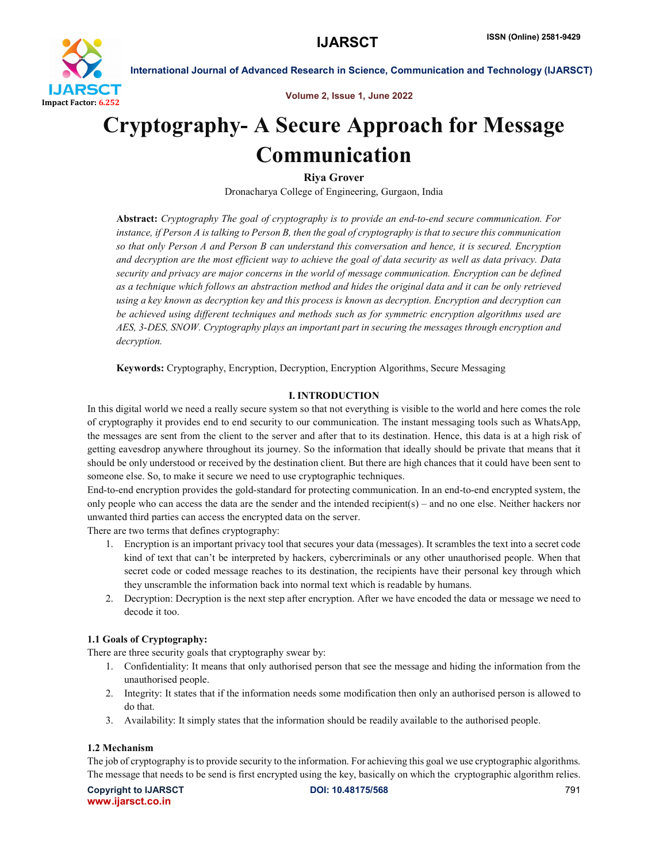

International Journal of Advanced Research in Science, Communication and Technology (IJARSCT)

Volume 2, Issue 1, June 2022

# Cryptography- A Secure Approach for Message Communication

Riya Grover

Dronacharya College of Engineering, Gurgaon, India

Abstract: *Cryptography The goal of cryptography is to provide an end-to-end secure communication. For instance, if Person A is talking to Person B, then the goal of cryptography is that to secure this communication so that only Person A and Person B can understand this conversation and hence, it is secured. Encryption and decryption are the most efficient way to achieve the goal of data security as well as data privacy. Data security and privacy are major concerns in the world of message communication. Encryption can be defined as a technique which follows an abstraction method and hides the original data and it can be only retrieved using a key known as decryption key and this process is known as decryption. Encryption and decryption can be achieved using different techniques and methods such as for symmetric encryption algorithms used are AES, 3-DES, SNOW. Cryptography plays an important part in securing the messages through encryption and decryption.*

Keywords: Cryptography, Encryption, Decryption, Encryption Algorithms, Secure Messaging

# I. INTRODUCTION

In this digital world we need a really secure system so that not everything is visible to the world and here comes the role of cryptography it provides end to end security to our communication. The instant messaging tools such as WhatsApp, the messages are sent from the client to the server and after that to its destination. Hence, this data is at a high risk of getting eavesdrop anywhere throughout its journey. So the information that ideally should be private that means that it should be only understood or received by the destination client. But there are high chances that it could have been sent to someone else. So, to make it secure we need to use cryptographic techniques.

End-to-end encryption provides the gold-standard for protecting communication. In an end-to-end encrypted system, the only people who can access the data are the sender and the intended recipient(s) – and no one else. Neither hackers nor unwanted third parties can access the encrypted data on the server.

There are two terms that defines cryptography:

- 1. Encryption is an important privacy tool that secures your data (messages). It scrambles the text into a secret code kind of text that can't be interpreted by hackers, cybercriminals or any other unauthorised people. When that secret code or coded message reaches to its destination, the recipients have their personal key through which they unscramble the information back into normal text which is readable by humans.
- 2. Decryption: Decryption is the next step after encryption. After we have encoded the data or message we need to decode it too.

#### 1.1 Goals of Cryptography:

There are three security goals that cryptography swear by:

- 1. Confidentiality: It means that only authorised person that see the message and hiding the information from the unauthorised people.
- 2. Integrity: It states that if the information needs some modification then only an authorised person is allowed to do that.
- 3. Availability: It simply states that the information should be readily available to the authorised people.

#### 1.2 Mechanism

The job of cryptography is to provide security to the information. For achieving this goal we use cryptographic algorithms. The message that needs to be send is first encrypted using the key, basically on which the cryptographic algorithm relies.

Copyright to IJARSCT **DOI: 10.48175/568 Copyright to IJARSCT** 791 www.ijarsct.co.in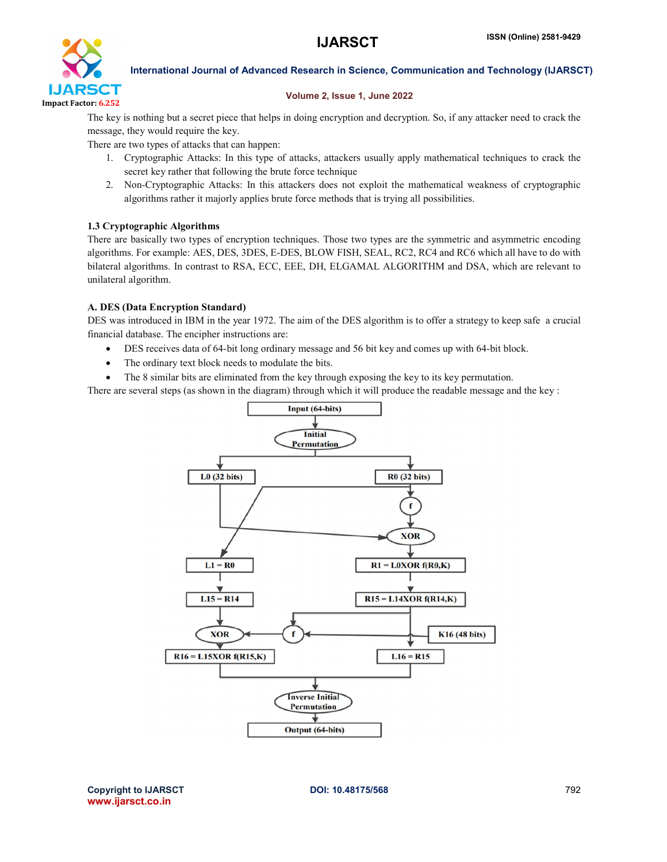

International Journal of Advanced Research in Science, Communication and Technology (IJARSCT)

### Volume 2, Issue 1, June 2022

The key is nothing but a secret piece that helps in doing encryption and decryption. So, if any attacker need to crack the message, they would require the key.

There are two types of attacks that can happen:

- 1. Cryptographic Attacks: In this type of attacks, attackers usually apply mathematical techniques to crack the secret key rather that following the brute force technique
- 2. Non-Cryptographic Attacks: In this attackers does not exploit the mathematical weakness of cryptographic algorithms rather it majorly applies brute force methods that is trying all possibilities.

# 1.3 Cryptographic Algorithms

There are basically two types of encryption techniques. Those two types are the symmetric and asymmetric encoding algorithms. For example: AES, DES, 3DES, E-DES, BLOW FISH, SEAL, RC2, RC4 and RC6 which all have to do with bilateral algorithms. In contrast to RSA, ECC, EEE, DH, ELGAMAL ALGORITHM and DSA, which are relevant to unilateral algorithm.

#### A. DES (Data Encryption Standard)

DES was introduced in IBM in the year 1972. The aim of the DES algorithm is to offer a strategy to keep safe a crucial financial database. The encipher instructions are:

- DES receives data of 64-bit long ordinary message and 56 bit key and comes up with 64-bit block.
- The ordinary text block needs to modulate the bits.
- The 8 similar bits are eliminated from the key through exposing the key to its key permutation.

There are several steps (as shown in the diagram) through which it will produce the readable message and the key :